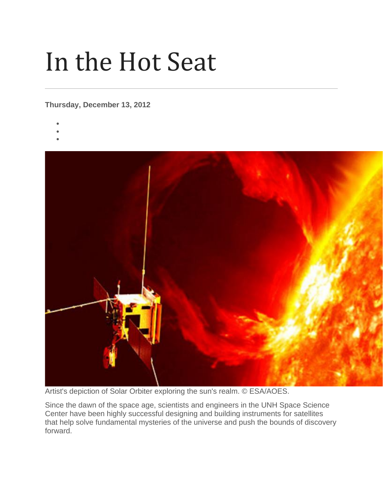## In the Hot Seat

## **Thursday, December 13, 2012**

- •
- •
- •



Artist's depiction of Solar Orbiter exploring the sun's realm. © ESA/AOES.

Since the dawn of the space age, scientists and engineers in the UNH Space Science Center have been highly successful designing and building instruments for satellites that help solve fundamental mysteries of the universe and push the bounds of discovery forward.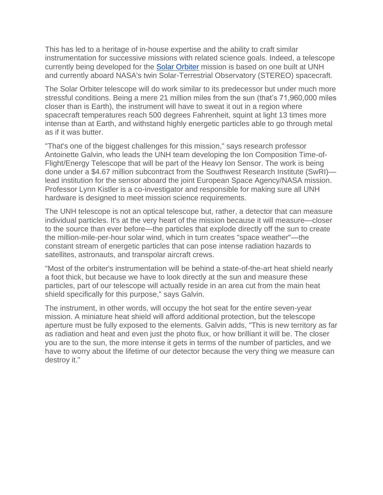This has led to a heritage of in-house expertise and the ability to craft similar instrumentation for successive missions with related science goals. Indeed, a telescope currently being developed for the [Solar Orbiter](http://science.nasa.gov/missions/solar-orbiter/) mission is based on one built at UNH and currently aboard NASA's twin Solar-Terrestrial Observatory (STEREO) spacecraft.

The Solar Orbiter telescope will do work similar to its predecessor but under much more stressful conditions. Being a mere 21 million miles from the sun (that's 71,960,000 miles closer than is Earth), the instrument will have to sweat it out in a region where spacecraft temperatures reach 500 degrees Fahrenheit, squint at light 13 times more intense than at Earth, and withstand highly energetic particles able to go through metal as if it was butter.

"That's one of the biggest challenges for this mission," says research professor Antoinette Galvin, who leads the UNH team developing the Ion Composition Time-of-Flight/Energy Telescope that will be part of the Heavy Ion Sensor. The work is being done under a \$4.67 million subcontract from the Southwest Research Institute (SwRI) lead institution for the sensor aboard the joint European Space Agency/NASA mission. Professor Lynn Kistler is a co-investigator and responsible for making sure all UNH hardware is designed to meet mission science requirements.

The UNH telescope is not an optical telescope but, rather, a detector that can measure individual particles. It's at the very heart of the mission because it will measure—closer to the source than ever before—the particles that explode directly off the sun to create the million-mile-per-hour solar wind, which in turn creates "space weather"—the constant stream of energetic particles that can pose intense radiation hazards to satellites, astronauts, and transpolar aircraft crews.

"Most of the orbiter's instrumentation will be behind a state-of-the-art heat shield nearly a foot thick, but because we have to look directly at the sun and measure these particles, part of our telescope will actually reside in an area cut from the main heat shield specifically for this purpose," says Galvin.

The instrument, in other words, will occupy the hot seat for the entire seven-year mission. A miniature heat shield will afford additional protection, but the telescope aperture must be fully exposed to the elements. Galvin adds, "This is new territory as far as radiation and heat and even just the photo flux, or how brilliant it will be. The closer you are to the sun, the more intense it gets in terms of the number of particles, and we have to worry about the lifetime of our detector because the very thing we measure can destroy it."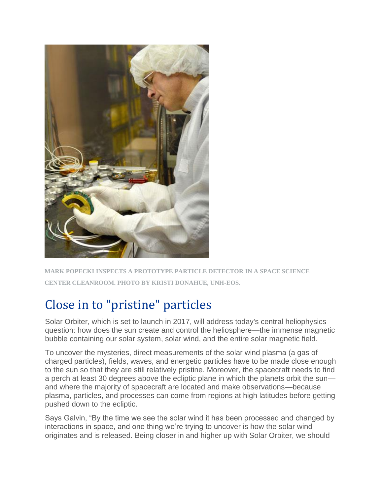

**MARK POPECKI INSPECTS A PROTOTYPE PARTICLE DETECTOR IN A SPACE SCIENCE CENTER CLEANROOM. PHOTO BY KRISTI DONAHUE, UNH-EOS.**

## Close in to "pristine" particles

Solar Orbiter, which is set to launch in 2017, will address today's central heliophysics question: how does the sun create and control the heliosphere—the immense magnetic bubble containing our solar system, solar wind, and the entire solar magnetic field.

To uncover the mysteries, direct measurements of the solar wind plasma (a gas of charged particles), fields, waves, and energetic particles have to be made close enough to the sun so that they are still relatively pristine. Moreover, the spacecraft needs to find a perch at least 30 degrees above the ecliptic plane in which the planets orbit the sun and where the majority of spacecraft are located and make observations—because plasma, particles, and processes can come from regions at high latitudes before getting pushed down to the ecliptic.

Says Galvin, "By the time we see the solar wind it has been processed and changed by interactions in space, and one thing we're trying to uncover is how the solar wind originates and is released. Being closer in and higher up with Solar Orbiter, we should